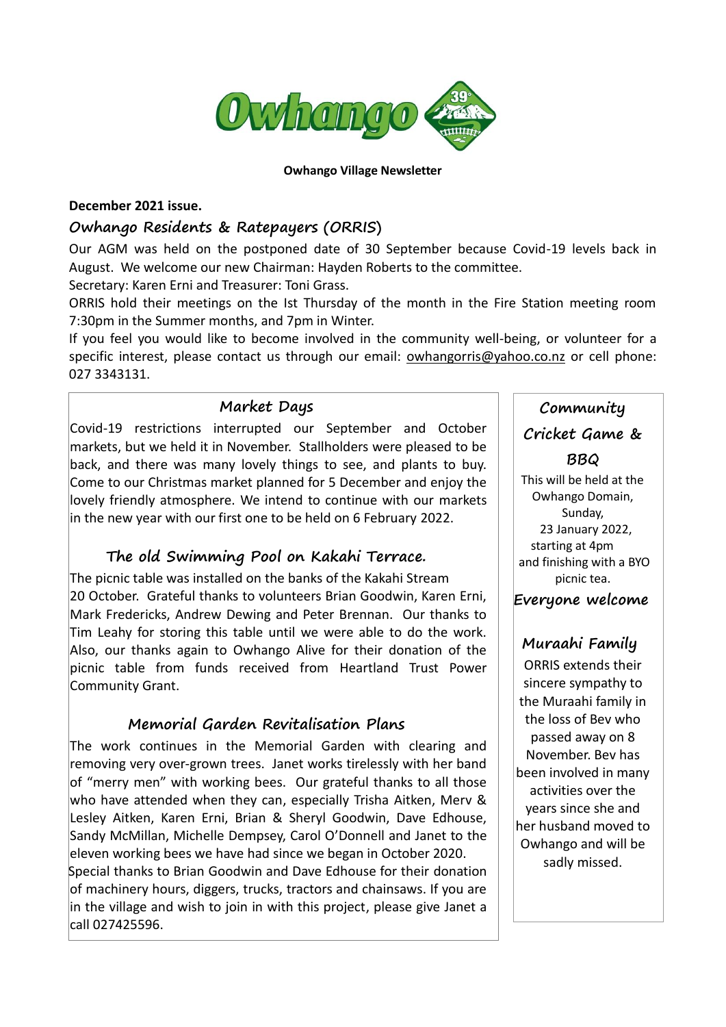

#### **Owhango Village Newsletter**

### **December 2021 issue.**

### **Owhango Residents & Ratepayers (ORRIS)**

Our AGM was held on the postponed date of 30 September because Covid-19 levels back in August. We welcome our new Chairman: Hayden Roberts to the committee.

Secretary: Karen Erni and Treasurer: Toni Grass.

ORRIS hold their meetings on the Ist Thursday of the month in the Fire Station meeting room 7:30pm in the Summer months, and 7pm in Winter.

If you feel you would like to become involved in the community well-being, or volunteer for a specific interest, please contact us through our email: [owhangorris@yahoo.co.nz](mailto:owhangorris@yahoo.co.nz) or cell phone: 027 3343131.

### **Market Days**

Covid-19 restrictions interrupted our September and October markets, but we held it in November. Stallholders were pleased to be back, and there was many lovely things to see, and plants to buy. Come to our Christmas market planned for 5 December and enjoy the lovely friendly atmosphere. We intend to continue with our markets in the new year with our first one to be held on 6 February 2022.

## **The old Swimming Pool on Kakahi Terrace.**

The picnic table was installed on the banks of the Kakahi Stream 20 October. Grateful thanks to volunteers Brian Goodwin, Karen Erni, Mark Fredericks, Andrew Dewing and Peter Brennan. Our thanks to Tim Leahy for storing this table until we were able to do the work. Also, our thanks again to Owhango Alive for their donation of the picnic table from funds received from Heartland Trust Power Community Grant.

## **Memorial Garden Revitalisation Plans**

The work continues in the Memorial Garden with clearing and removing very over-grown trees. Janet works tirelessly with her band of "merry men" with working bees. Our grateful thanks to all those who have attended when they can, especially Trisha Aitken, Merv & Lesley Aitken, Karen Erni, Brian & Sheryl Goodwin, Dave Edhouse, Sandy McMillan, Michelle Dempsey, Carol O'Donnell and Janet to the eleven working bees we have had since we began in October 2020. Special thanks to Brian Goodwin and Dave Edhouse for their donation of machinery hours, diggers, trucks, tractors and chainsaws. If you are in the village and wish to join in with this project, please give Janet a call 027425596.

# **Community Cricket Game &**

**BBQ** This will be held at the Owhango Domain, Sunday, 23 January 2022, starting at 4pm and finishing with a BYO picnic tea.

 **Everyone welcome**

# **Muraahi Family**

ORRIS extends their sincere sympathy to the Muraahi family in the loss of Bev who passed away on 8 November. Bev has been involved in many activities over the years since she and her husband moved to Owhango and will be sadly missed.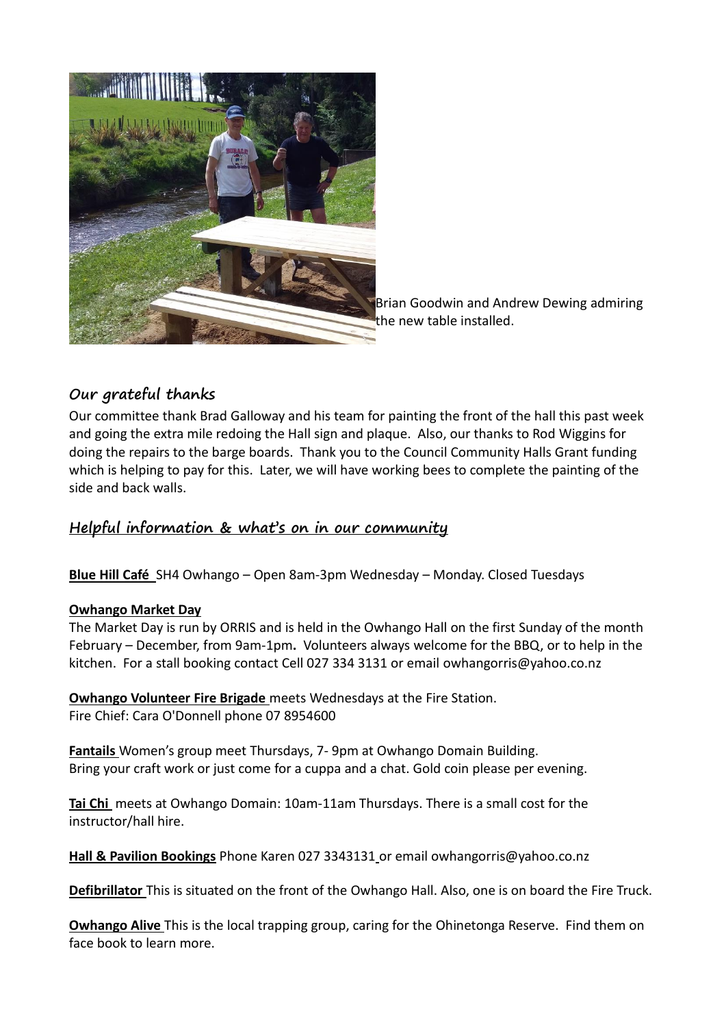

Brian Goodwin and Andrew Dewing admiring the new table installed.

# **Our grateful thanks**

Our committee thank Brad Galloway and his team for painting the front of the hall this past week and going the extra mile redoing the Hall sign and plaque. Also, our thanks to Rod Wiggins for doing the repairs to the barge boards. Thank you to the Council Community Halls Grant funding which is helping to pay for this. Later, we will have working bees to complete the painting of the side and back walls.

# **Helpful information & what's on in our community**

**Blue Hill Café** SH4 Owhango – Open 8am-3pm Wednesday – Monday. Closed Tuesdays

### **Owhango Market Day**

The Market Day is run by ORRIS and is held in the Owhango Hall on the first Sunday of the month February – December, from 9am-1pm**.** Volunteers always welcome for the BBQ, or to help in the kitchen. For a stall booking contact Cell 027 334 3131 or email [owhangorris@yahoo.co.nz](mailto:owhangorris@yahoo.co.nz)

**Owhango Volunteer Fire Brigade** meets Wednesdays at the Fire Station. Fire Chief: Cara O'Donnell phone 07 8954600

**Fantails** Women's group meet Thursdays, 7- 9pm at Owhango Domain Building. Bring your craft work or just come for a cuppa and a chat. Gold coin please per evening.

**Tai Chi** meets at Owhango Domain: 10am-11am Thursdays. There is a small cost for the instructor/hall hire.

**Hall & Pavilion Bookings** Phone Karen 027 3343131 or emai[l owhangorris@yahoo.co.nz](mailto:owhangorris@yahoo.co.nz)

**Defibrillator** This is situated on the front of the Owhango Hall. Also, one is on board the Fire Truck.

**Owhango Alive** This is the local trapping group, caring for the Ohinetonga Reserve. Find them on face book to learn more.